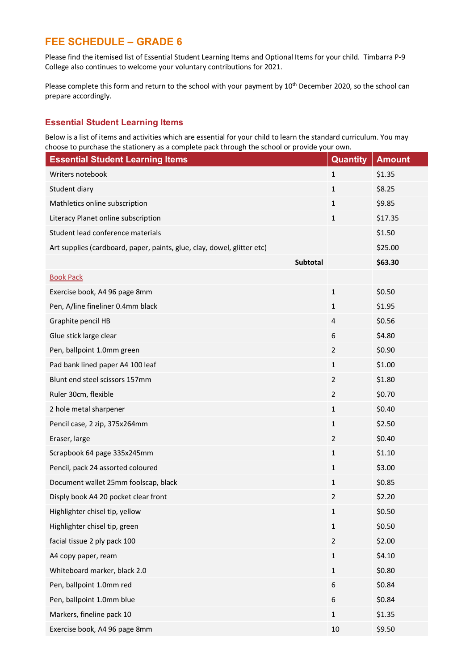# **FEE SCHEDULE – GRADE 6**

Please find the itemised list of Essential Student Learning Items and Optional Items for your child. Timbarra P-9 College also continues to welcome your voluntary contributions for 2021.

Please complete this form and return to the school with your payment by 10<sup>th</sup> December 2020, so the school can prepare accordingly.

### **Essential Student Learning Items**

Below is a list of items and activities which are essential for your child to learn the standard curriculum. You may choose to purchase the stationery as a complete pack through the school or provide your own.

| <b>Essential Student Learning Items</b>                                 |          | <b>Quantity</b> | <b>Amount</b> |
|-------------------------------------------------------------------------|----------|-----------------|---------------|
| Writers notebook                                                        |          | $\mathbf{1}$    | \$1.35        |
| Student diary                                                           |          | $\mathbf{1}$    | \$8.25        |
| Mathletics online subscription                                          |          | $\mathbf{1}$    | \$9.85        |
| Literacy Planet online subscription                                     |          | $\mathbf{1}$    | \$17.35       |
| Student lead conference materials                                       |          |                 | \$1.50        |
| Art supplies (cardboard, paper, paints, glue, clay, dowel, glitter etc) |          |                 | \$25.00       |
|                                                                         | Subtotal |                 | \$63.30       |
| <b>Book Pack</b>                                                        |          |                 |               |
| Exercise book, A4 96 page 8mm                                           |          | $\mathbf{1}$    | \$0.50        |
| Pen, A/line fineliner 0.4mm black                                       |          | $\mathbf{1}$    | \$1.95        |
| Graphite pencil HB                                                      |          | 4               | \$0.56        |
| Glue stick large clear                                                  |          | 6               | \$4.80        |
| Pen, ballpoint 1.0mm green                                              |          | $\overline{2}$  | \$0.90        |
| Pad bank lined paper A4 100 leaf                                        |          | $\mathbf{1}$    | \$1.00        |
| Blunt end steel scissors 157mm                                          |          | $\overline{2}$  | \$1.80        |
| Ruler 30cm, flexible                                                    |          | $\overline{2}$  | \$0.70        |
| 2 hole metal sharpener                                                  |          | $\mathbf{1}$    | \$0.40        |
| Pencil case, 2 zip, 375x264mm                                           |          | $\mathbf{1}$    | \$2.50        |
| Eraser, large                                                           |          | $\overline{2}$  | \$0.40        |
| Scrapbook 64 page 335x245mm                                             |          | $\mathbf{1}$    | \$1.10        |
| Pencil, pack 24 assorted coloured                                       |          | $\mathbf{1}$    | \$3.00        |
| Document wallet 25mm foolscap, black                                    |          | $\mathbf{1}$    | \$0.85        |
| Disply book A4 20 pocket clear front                                    |          | $\overline{2}$  | \$2.20        |
| Highlighter chisel tip, yellow                                          |          | 1               | \$0.50        |
| Highlighter chisel tip, green                                           |          | $\mathbf 1$     | \$0.50        |
| facial tissue 2 ply pack 100                                            |          | $\overline{2}$  | \$2.00        |
| A4 copy paper, ream                                                     |          | $\mathbf{1}$    | \$4.10        |
| Whiteboard marker, black 2.0                                            |          | $\mathbf{1}$    | \$0.80        |
| Pen, ballpoint 1.0mm red                                                |          | 6               | \$0.84        |
| Pen, ballpoint 1.0mm blue                                               |          | 6               | \$0.84        |
| Markers, fineline pack 10                                               |          | $\mathbf 1$     | \$1.35        |
| Exercise book, A4 96 page 8mm                                           |          | 10              | \$9.50        |